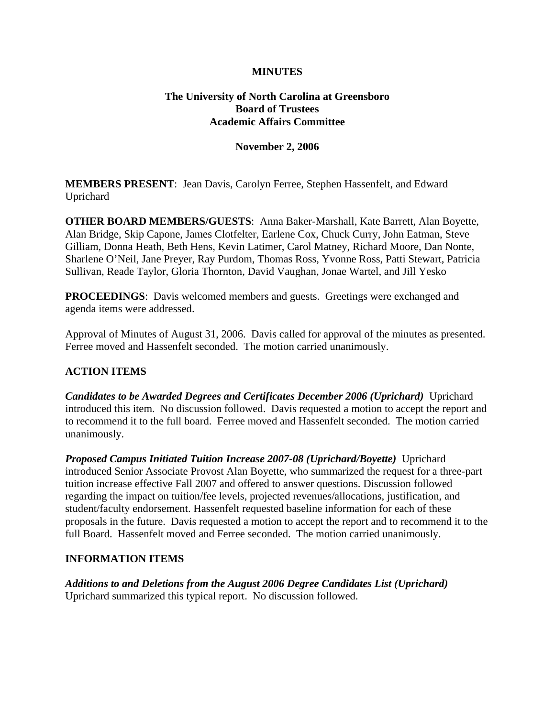## **MINUTES**

## **The University of North Carolina at Greensboro Board of Trustees Academic Affairs Committee**

#### **November 2, 2006**

**MEMBERS PRESENT**: Jean Davis, Carolyn Ferree, Stephen Hassenfelt, and Edward Uprichard

**OTHER BOARD MEMBERS/GUESTS**: Anna Baker-Marshall, Kate Barrett, Alan Boyette, Alan Bridge, Skip Capone, James Clotfelter, Earlene Cox, Chuck Curry, John Eatman, Steve Gilliam, Donna Heath, Beth Hens, Kevin Latimer, Carol Matney, Richard Moore, Dan Nonte, Sharlene O'Neil, Jane Preyer, Ray Purdom, Thomas Ross, Yvonne Ross, Patti Stewart, Patricia Sullivan, Reade Taylor, Gloria Thornton, David Vaughan, Jonae Wartel, and Jill Yesko

**PROCEEDINGS**: Davis welcomed members and guests. Greetings were exchanged and agenda items were addressed.

Approval of Minutes of August 31, 2006. Davis called for approval of the minutes as presented. Ferree moved and Hassenfelt seconded. The motion carried unanimously.

### **ACTION ITEMS**

*Candidates to be Awarded Degrees and Certificates December 2006 (Uprichard)* Uprichard introduced this item. No discussion followed. Davis requested a motion to accept the report and to recommend it to the full board. Ferree moved and Hassenfelt seconded. The motion carried unanimously.

*Proposed Campus Initiated Tuition Increase 2007-08 (Uprichard/Boyette)* Uprichard introduced Senior Associate Provost Alan Boyette, who summarized the request for a three-part tuition increase effective Fall 2007 and offered to answer questions. Discussion followed regarding the impact on tuition/fee levels, projected revenues/allocations, justification, and student/faculty endorsement. Hassenfelt requested baseline information for each of these proposals in the future. Davis requested a motion to accept the report and to recommend it to the full Board. Hassenfelt moved and Ferree seconded. The motion carried unanimously.

### **INFORMATION ITEMS**

*Additions to and Deletions from the August 2006 Degree Candidates List (Uprichard)* Uprichard summarized this typical report. No discussion followed.